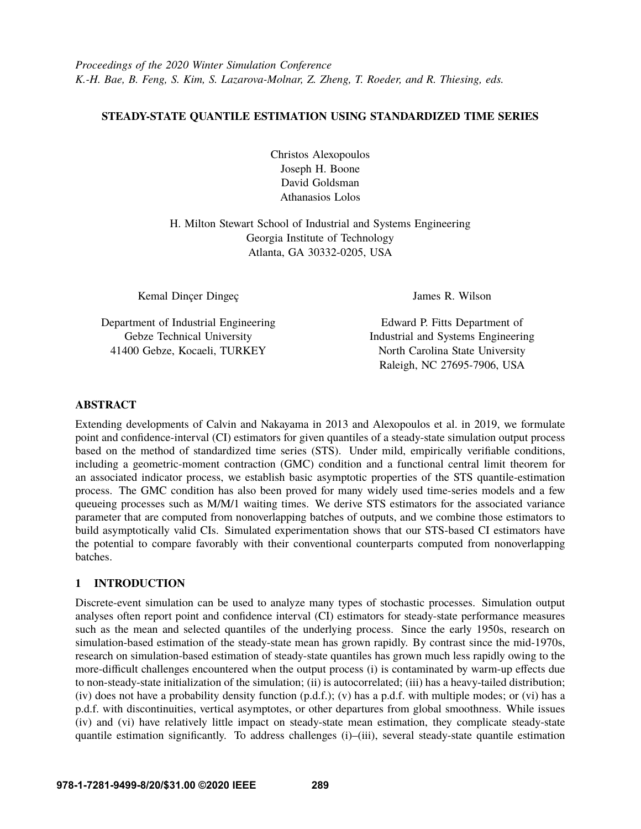# **STEADY-STATE QUANTILE ESTIMATION USING STANDARDIZED TIME SERIES**

Christos Alexopoulos Joseph H. Boone David Goldsman Athanasios Lolos

H. Milton Stewart School of Industrial and Systems Engineering Georgia Institute of Technology Atlanta, GA 30332-0205, USA

Kemal Dinçer Dingeç

Department of Industrial Engineering Gebze Technical University 41400 Gebze, Kocaeli, TURKEY

James R. Wilson

Edward P. Fitts Department of Industrial and Systems Engineering North Carolina State University Raleigh, NC 27695-7906, USA

# **ABSTRACT**

Extending developments of Calvin and Nakayama in 2013 and Alexopoulos et al. in 2019, we formulate point and confidence-interval (CI) estimators for given quantiles of a steady-state simulation output process based on the method of standardized time series (STS). Under mild, empirically verifiable conditions, including a geometric-moment contraction (GMC) condition and a functional central limit theorem for an associated indicator process, we establish basic asymptotic properties of the STS quantile-estimation process. The GMC condition has also been proved for many widely used time-series models and a few queueing processes such as M/M/1 waiting times. We derive STS estimators for the associated variance parameter that are computed from nonoverlapping batches of outputs, and we combine those estimators to build asymptotically valid CIs. Simulated experimentation shows that our STS-based CI estimators have the potential to compare favorably with their conventional counterparts computed from nonoverlapping batches.

# **1 INTRODUCTION**

Discrete-event simulation can be used to analyze many types of stochastic processes. Simulation output analyses often report point and confidence interval (CI) estimators for steady-state performance measures such as the mean and selected quantiles of the underlying process. Since the early 1950s, research on simulation-based estimation of the steady-state mean has grown rapidly. By contrast since the mid-1970s, research on simulation-based estimation of steady-state quantiles has grown much less rapidly owing to the more-difficult challenges encountered when the output process (i) is contaminated by warm-up effects due to non-steady-state initialization of the simulation; (ii) is autocorrelated; (iii) has a heavy-tailed distribution; (iv) does not have a probability density function (p.d.f.); (v) has a p.d.f. with multiple modes; or (vi) has a p.d.f. with discontinuities, vertical asymptotes, or other departures from global smoothness. While issues (iv) and (vi) have relatively little impact on steady-state mean estimation, they complicate steady-state quantile estimation significantly. To address challenges (i)–(iii), several steady-state quantile estimation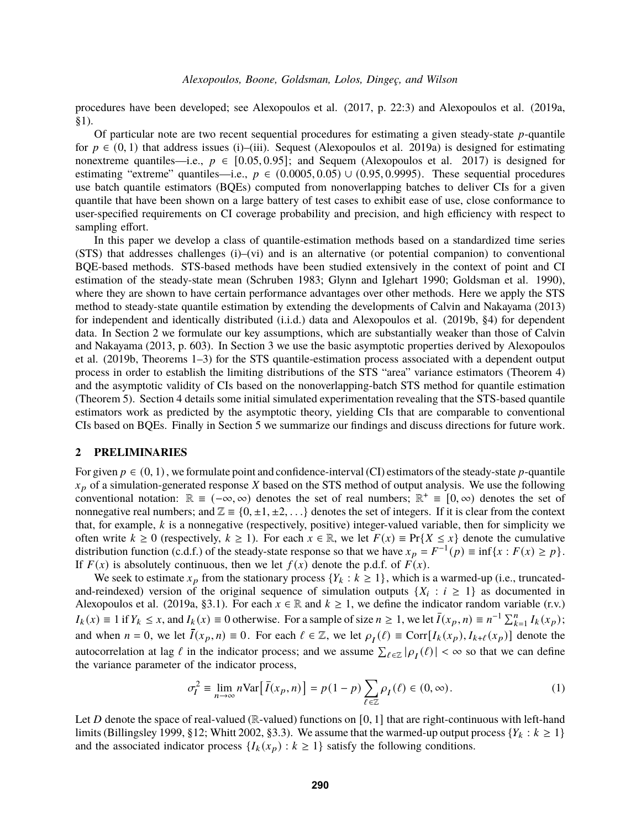procedures have been developed; see [Alexopoulos et al.](#page-10-0) [\(2017,](#page-10-0) p. 22:3) and [Alexopoulos et al.](#page-10-1) [\(2019a,](#page-10-1) §1).

Of particular note are two recent sequential procedures for estimating a given steady-state  $p$ -quantile for  $p \in (0, 1)$  that address issues (i)–(iii). Sequest [\(Alexopoulos et al. 2019a\)](#page-10-1) is designed for estimating nonextreme quantiles—i.e.,  $p \in [0.05, 0.95]$ ; and Sequem [\(Alexopoulos et al. 2017\)](#page-10-0) is designed for estimating "extreme" quantiles—i.e.,  $p \in (0.0005, 0.05) \cup (0.95, 0.9995)$ . These sequential procedures use batch quantile estimators (BQEs) computed from nonoverlapping batches to deliver CIs for a given quantile that have been shown on a large battery of test cases to exhibit ease of use, close conformance to user-specified requirements on CI coverage probability and precision, and high efficiency with respect to sampling effort.

In this paper we develop a class of quantile-estimation methods based on a standardized time series (STS) that addresses challenges (i)–(vi) and is an alternative (or potential companion) to conventional BQE-based methods. STS-based methods have been studied extensively in the context of point and CI estimation of the steady-state mean [\(Schruben 1983;](#page-11-0) [Glynn and Iglehart 1990;](#page-11-1) [Goldsman et al. 1990\)](#page-11-2), where they are shown to have certain performance advantages over other methods. Here we apply the STS method to steady-state quantile estimation by extending the developments of [Calvin and Nakayama](#page-11-3) [\(2013\)](#page-11-3) for independent and identically distributed (i.i.d.) data and [Alexopoulos et al.](#page-10-2) [\(2019b,](#page-10-2) §4) for dependent data. In Section [2](#page-1-0) we formulate our key assumptions, which are substantially weaker than those of [Calvin](#page-11-3) [and Nakayama](#page-11-3) [\(2013,](#page-11-3) p. 603). In Section [3](#page-3-0) we use the basic asymptotic properties derived by [Alexopoulos](#page-10-2) [et al.](#page-10-2) [\(2019b,](#page-10-2) Theorems 1–3) for the STS quantile-estimation process associated with a dependent output process in order to establish the limiting distributions of the STS "area" variance estimators (Theorem [4\)](#page-4-0) and the asymptotic validity of CIs based on the nonoverlapping-batch STS method for quantile estimation (Theorem [5\)](#page-5-0). Section [4](#page-7-0) details some initial simulated experimentation revealing that the STS-based quantile estimators work as predicted by the asymptotic theory, yielding CIs that are comparable to conventional CIs based on BQEs. Finally in Section [5](#page-10-3) we summarize our findings and discuss directions for future work.

#### <span id="page-1-0"></span>**2 PRELIMINARIES**

For given  $p \in (0, 1)$ , we formulate point and confidence-interval (CI) estimators of the steady-state p-quantile  $x_p$  of a simulation-generated response X based on the STS method of output analysis. We use the following conventional notation:  $\mathbb{R} \equiv (-\infty, \infty)$  denotes the set of real numbers;  $\mathbb{R}^+ \equiv [0, \infty)$  denotes the set of nonnegative real numbers; and  $\mathbb{Z} = \{0, \pm 1, \pm 2, \ldots\}$  denotes the set of integers. If it is clear from the context that, for example,  $k$  is a nonnegative (respectively, positive) integer-valued variable, then for simplicity we often write  $k \ge 0$  (respectively,  $k \ge 1$ ). For each  $x \in \mathbb{R}$ , we let  $F(x) \equiv Pr\{X \le x\}$  denote the cumulative distribution function (c.d.f.) of the steady-state response so that we have  $x_p = F^{-1}(p) \equiv \inf\{x : F(x) \ge p\}$ . If  $F(x)$  is absolutely continuous, then we let  $f(x)$  denote the p.d.f. of  $F(x)$ .

We seek to estimate  $x_p$  from the stationary process  $\{Y_k : k \geq 1\}$ , which is a warmed-up (i.e., truncatedand-reindexed) version of the original sequence of simulation outputs  $\{X_i : i \geq 1\}$  as documented in [Alexopoulos et al.](#page-10-1) [\(2019a,](#page-10-1) §3.1). For each  $x \in \mathbb{R}$  and  $k \ge 1$ , we define the indicator random variable (r.v.)  $I_k(x) \equiv 1$  if  $Y_k \le x$ , and  $I_k(x) \equiv 0$  otherwise. For a sample of size  $n \ge 1$ , we let  $\overline{I}(x_p, n) \equiv n^{-1} \sum_{k=1}^n I_k(x_p)$ ; and when  $n = 0$ , we let  $\bar{I}(x_p, n) \equiv 0$ . For each  $\ell \in \mathbb{Z}$ , we let  $\rho_I(\ell) \equiv \text{Corr}[I_k(x_p), I_{k+\ell}(x_p)]$  denote the autocorrelation at lag  $\ell$  in the indicator process; and we assume  $\sum_{\ell \in \mathbb{Z}} |\rho_I(\ell)| < \infty$  so that we can define the variance parameter of the indicator process,

$$
\sigma_I^2 \equiv \lim_{n \to \infty} n \text{Var} \big[ \bar{I}(x_p, n) \big] = p(1 - p) \sum_{\ell \in \mathbb{Z}} \rho_I(\ell) \in (0, \infty). \tag{1}
$$

Let  $D$  denote the space of real-valued ( $\mathbb R$ -valued) functions on [0, 1] that are right-continuous with left-hand limits [\(Billingsley](#page-10-4) [1999,](#page-10-4) §12; [Whitt](#page-11-4) [2002,](#page-11-4) §3.3). We assume that the warmed-up output process  $\{Y_k : k \geq 1\}$ and the associated indicator process  $\{I_k(x_p) : k \geq 1\}$  satisfy the following conditions.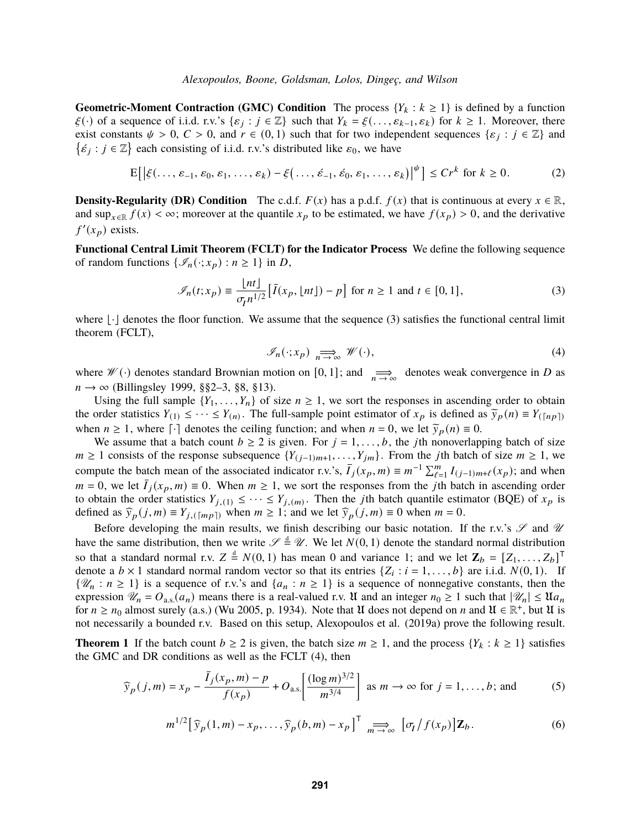**Geometric-Moment Contraction (GMC) Condition** The process  ${Y_k : k \ge 1}$  is defined by a function  $\xi(\cdot)$  of a sequence of i.i.d. r.v.'s  $\{\varepsilon_j : j \in \mathbb{Z}\}$  such that  $Y_k = \xi(\dots, \varepsilon_{k-1}, \varepsilon_k)$  for  $k \ge 1$ . Moreover, there exist constants  $\psi > 0$ ,  $C > 0$ , and  $r \in (0, 1)$  such that for two independent sequences  $\{\varepsilon_j : j \in \mathbb{Z}\}\$  and  $\{\acute{\epsilon}_j : j \in \mathbb{Z}\}$  each consisting of i.i.d. r.v.'s distributed like  $\varepsilon_0$ , we have

$$
\mathbf{E}\big[\big|\xi(\ldots,\varepsilon_{-1},\varepsilon_0,\varepsilon_1,\ldots,\varepsilon_k)-\xi(\ldots,\varepsilon_{-1},\varepsilon_0,\varepsilon_1,\ldots,\varepsilon_k)\big|^{\psi}\big] \le Cr^k \text{ for } k\ge 0. \tag{2}
$$

**Density-Regularity (DR) Condition** The c.d.f.  $F(x)$  has a p.d.f.  $f(x)$  that is continuous at every  $x \in \mathbb{R}$ , and sup $_{x\in\mathbb{R}} f(x) < \infty$ ; moreover at the quantile  $x_p$  to be estimated, we have  $f(x_p) > 0$ , and the derivative  $f'(x_p)$  exists.

**Functional Central Limit Theorem (FCLT) for the Indicator Process** We define the following sequence of random functions  $\{\mathcal{I}_n(\cdot; x_p) : n \geq 1\}$  in D,

<span id="page-2-0"></span>
$$
\mathcal{I}_n(t; x_p) \equiv \frac{\lfloor nt \rfloor}{\sigma \cdot n^{1/2}} \left[ \bar{I}(x_p, \lfloor nt \rfloor) - p \right] \text{ for } n \ge 1 \text{ and } t \in [0, 1],\tag{3}
$$

where  $\lfloor \cdot \rfloor$  denotes the floor function. We assume that the sequence [\(3\)](#page-2-0) satisfies the functional central limit theorem (FCLT),

<span id="page-2-1"></span>
$$
\mathcal{I}_n(\cdot; x_p) \underset{n \to \infty}{\Longrightarrow} \mathcal{W}(\cdot),\tag{4}
$$

where  $\mathscr{W}(\cdot)$  denotes standard Brownian motion on [0, 1]; and  $\lim_{n\to\infty}$  denotes weak convergence in D as  $n \to \infty$  [\(Billingsley](#page-10-4) [1999,](#page-10-4) §§2–3, §8, §13).

Using the full sample  $\{Y_1, \ldots, Y_n\}$  of size  $n \geq 1$ , we sort the responses in ascending order to obtain the order statistics  $Y_{(1)} \leq \cdots \leq Y_{(n)}$ . The full-sample point estimator of  $x_p$  is defined as  $\widetilde{y}_p(n) \equiv Y_{(\lceil np \rceil)}$ when  $n \ge 1$ , where  $\lceil \cdot \rceil$  denotes the ceiling function; and when  $n = 0$ , we let  $\widetilde{y}_p(n) \equiv 0$ .

We assume that a batch count  $b \ge 2$  is given. For  $j = 1, \ldots, b$ , the *j*th nonoverlapping batch of size  $m \ge 1$  consists of the response subsequence  $\{Y_{(j-1)m+1}, \ldots, Y_{jm}\}\$ . From the jth batch of size  $m \ge 1$ , we compute the batch mean of the associated indicator r.v.'s,  $\bar{I}_j(x_p, m) \equiv m^{-1} \sum_{\ell=1}^m I_{(j-1)m+\ell}(x_p)$ ; and when  $m = 0$ , we let  $\overline{I}_i(x_p, m) \equiv 0$ . When  $m \ge 1$ , we sort the responses from the *j*th batch in ascending order to obtain the order statistics  $Y_{j,(1)} \leq \cdots \leq Y_{j,(m)}$ . Then the *j*th batch quantile estimator (BQE) of  $x_p$  is defined as  $\widehat{\mathcal{Y}}_p(j,m) \equiv Y_{j,(\lceil mp \rceil)}$  when  $m \ge 1$ ; and we let  $\widehat{\mathcal{Y}}_p(j,m) \equiv 0$  when  $m = 0$ .

Before developing the main results, we finish describing our basic notation. If the r.v.'s  $\mathscr S$  and  $\mathscr U$ have the same distribution, then we write  $\mathscr{S} \stackrel{d}{=} \mathscr{U}$ . We let  $N(0, 1)$  denote the standard normal distribution so that a standard normal r.v.  $Z \triangleq N(0, 1)$  has mean 0 and variance 1; and we let  $\mathbf{Z}_b = [Z_1, \ldots, Z_b]^T$ denote a  $b \times 1$  standard normal random vector so that its entries  $\{Z_i : i = 1, \ldots, b\}$  are i.i.d.  $N(0, 1)$ . If  $\{\mathscr{U}_n : n \geq 1\}$  is a sequence of r.v.'s and  $\{a_n : n \geq 1\}$  is a sequence of nonnegative constants, then the expression  $\mathcal{U}_n = O_{\text{a.s.}}(a_n)$  means there is a real-valued r.v.  $\mathfrak U$  and an integer  $n_0 \geq 1$  such that  $|\mathcal{U}_n| \leq \mathfrak U a_n$ for  $n \ge n_0$  almost surely (a.s.) [\(Wu](#page-11-5) [2005,](#page-11-5) p. 1934). Note that  $\mathfrak U$  does not depend on  $n$  and  $\mathfrak U \in \mathbb R^+$ , but  $\mathfrak U$  is not necessarily a bounded r.v. Based on this setup, [Alexopoulos et al.](#page-10-1) [\(2019a\)](#page-10-1) prove the following result.

<span id="page-2-3"></span>**Theorem 1** If the batch count  $b \ge 2$  is given, the batch size  $m \ge 1$ , and the process  $\{Y_k : k \ge 1\}$  satisfies the GMC and DR conditions as well as the FCLT [\(4\)](#page-2-1), then

<span id="page-2-2"></span>
$$
\widehat{y}_p(j,m) = x_p - \frac{\bar{I}_j(x_p, m) - p}{f(x_p)} + O_{a.s.} \left[ \frac{(\log m)^{3/2}}{m^{3/4}} \right] \text{ as } m \to \infty \text{ for } j = 1, ..., b; \text{ and } (5)
$$

<span id="page-2-4"></span>
$$
m^{1/2} \big[ \widehat{y}_p(1,m) - x_p, \dots, \widehat{y}_p(b,m) - x_p \big]^\mathsf{T} \underset{m \to \infty}{\Longrightarrow} \big[ \sigma_I / f(x_p) \big] \mathbf{Z}_b. \tag{6}
$$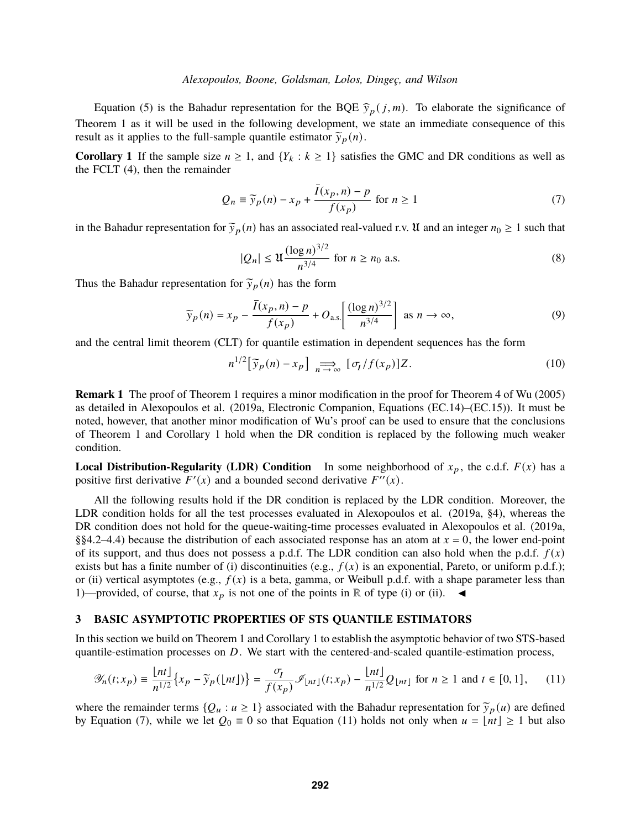Equation [\(5\)](#page-2-2) is the Bahadur representation for the BQE  $\hat{y}_p(j,m)$ . To elaborate the significance of Theorem [1](#page-2-3) as it will be used in the following development, we state an immediate consequence of this result as it applies to the full-sample quantile estimator  $\tilde{y}_p(n)$ .

<span id="page-3-1"></span>**Corollary 1** If the sample size  $n \ge 1$ , and  $\{Y_k : k \ge 1\}$  satisfies the GMC and DR conditions as well as the FCLT [\(4\)](#page-2-1), then the remainder

<span id="page-3-2"></span>
$$
Q_n \equiv \widetilde{y}_p(n) - x_p + \frac{\bar{I}(x_p, n) - p}{f(x_p)} \text{ for } n \ge 1
$$
 (7)

in the Bahadur representation for  $\tilde{y}_p(n)$  has an associated real-valued r.v. U and an integer  $n_0 \ge 1$  such that

$$
|Q_n| \le \mathfrak{U} \frac{(\log n)^{3/2}}{n^{3/4}} \text{ for } n \ge n_0 \text{ a.s.}
$$
 (8)

Thus the Bahadur representation for  $\tilde{y}_p(n)$  has the form

$$
\widetilde{y}_p(n) = x_p - \frac{\overline{I}(x_p, n) - p}{f(x_p)} + O_{\text{a.s.}} \left[ \frac{(\log n)^{3/2}}{n^{3/4}} \right] \text{ as } n \to \infty,
$$
\n(9)

and the central limit theorem (CLT) for quantile estimation in dependent sequences has the form

$$
n^{1/2} \left[ \widetilde{\mathbf{y}}_p(n) - x_p \right] \underset{n \to \infty}{\Longrightarrow} \left[ \sigma_I / f(x_p) \right] Z. \tag{10}
$$

**Remark 1** The proof of Theorem [1](#page-2-3) requires a minor modification in the proof for Theorem 4 of [Wu](#page-11-5) [\(2005\)](#page-11-5) as detailed in [Alexopoulos et al.](#page-10-1) [\(2019a,](#page-10-1) Electronic Companion, Equations (EC.14)–(EC.15)). It must be noted, however, that another minor modification of Wu's proof can be used to ensure that the conclusions of Theorem [1](#page-2-3) and Corollary [1](#page-3-1) hold when the DR condition is replaced by the following much weaker condition.

**Local Distribution-Regularity (LDR) Condition** In some neighborhood of  $x_p$ , the c.d.f.  $F(x)$  has a positive first derivative  $F'(x)$  and a bounded second derivative  $F''(x)$ .

All the following results hold if the DR condition is replaced by the LDR condition. Moreover, the LDR condition holds for all the test processes evaluated in [Alexopoulos et al.](#page-10-1) [\(2019a,](#page-10-1) §4), whereas the DR condition does not hold for the queue-waiting-time processes evaluated in [Alexopoulos et al.](#page-10-1) [\(2019a,](#page-10-1) §§4.2–4.4) because the distribution of each associated response has an atom at  $x = 0$ , the lower end-point of its support, and thus does not possess a p.d.f. The LDR condition can also hold when the p.d.f.  $f(x)$ exists but has a finite number of (i) discontinuities (e.g.,  $f(x)$  is an exponential, Pareto, or uniform p.d.f.); or (ii) vertical asymptotes (e.g.,  $f(x)$  is a beta, gamma, or Weibull p.d.f. with a shape parameter less than 1)—provided, of course, that  $x_p$  is not one of the points in R of type (i) or (ii).  $\blacktriangleleft$ 

## <span id="page-3-0"></span>**3 BASIC ASYMPTOTIC PROPERTIES OF STS QUANTILE ESTIMATORS**

In this section we build on Theorem [1](#page-2-3) and Corollary [1](#page-3-1) to establish the asymptotic behavior of two STS-based quantile-estimation processes on  $D$ . We start with the centered-and-scaled quantile-estimation process,

<span id="page-3-3"></span>
$$
\mathcal{Y}_n(t; x_p) \equiv \frac{\lfloor nt \rfloor}{n^{1/2}} \left\{ x_p - \widetilde{y}_p(\lfloor nt \rfloor) \right\} = \frac{\sigma_I}{f(x_p)} \mathcal{I}_{\lfloor nt \rfloor}(t; x_p) - \frac{\lfloor nt \rfloor}{n^{1/2}} Q_{\lfloor nt \rfloor} \text{ for } n \ge 1 \text{ and } t \in [0, 1], \qquad (11)
$$

where the remainder terms  $\{Q_u : u \geq 1\}$  associated with the Bahadur representation for  $\tilde{y}_p(u)$  are defined by Equation [\(7\)](#page-3-2), while we let  $Q_0 \equiv 0$  so that Equation [\(11\)](#page-3-3) holds not only when  $u = \lfloor nt \rfloor \ge 1$  but also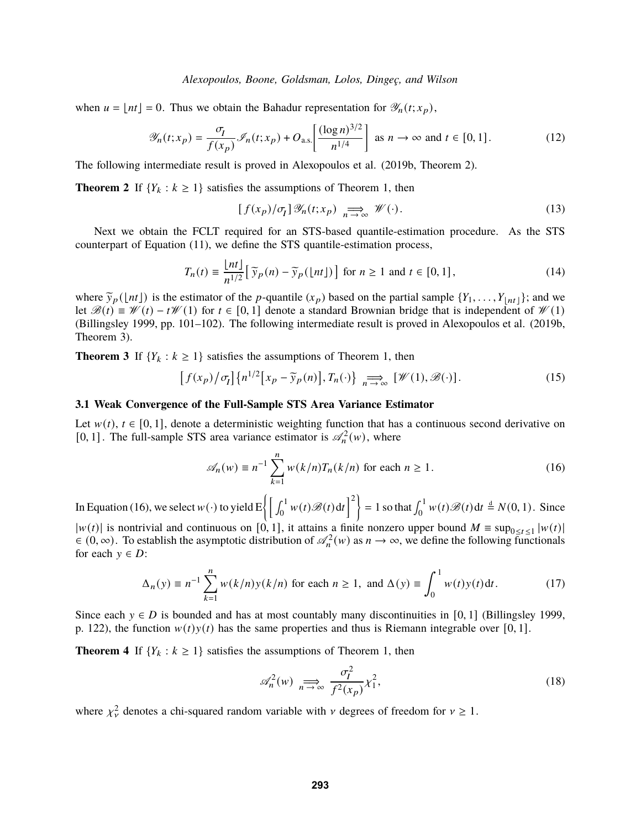when  $u = [nt] = 0$ . Thus we obtain the Bahadur representation for  $\mathscr{Y}_n(t; x_p)$ ,

$$
\mathscr{Y}_n(t; x_p) = \frac{\sigma_I}{f(x_p)} \mathscr{I}_n(t; x_p) + O_{\text{a.s.}} \left[ \frac{(\log n)^{3/2}}{n^{1/4}} \right] \text{ as } n \to \infty \text{ and } t \in [0, 1]. \tag{12}
$$

The following intermediate result is proved in [Alexopoulos et al.](#page-10-2) [\(2019b,](#page-10-2) Theorem 2).

**Theorem 2** If  ${Y_k : k \ge 1}$  satisfies the assumptions of Theorem [1,](#page-2-3) then

$$
[f(x_p)/\sigma_1] \mathcal{Y}_n(t; x_p) \underset{n \to \infty}{\Longrightarrow} \mathcal{W}(\cdot). \tag{13}
$$

Next we obtain the FCLT required for an STS-based quantile-estimation procedure. As the STS counterpart of Equation [\(11\)](#page-3-3), we define the STS quantile-estimation process,

$$
T_n(t) \equiv \frac{\lfloor nt \rfloor}{n^{1/2}} \left[ \widetilde{\gamma}_p(n) - \widetilde{\gamma}_p(\lfloor nt \rfloor) \right] \text{ for } n \ge 1 \text{ and } t \in [0, 1], \tag{14}
$$

where  $\tilde{y}_p(\lfloor nt \rfloor)$  is the estimator of the *p*-quantile  $(x_p)$  based on the partial sample  $\{Y_1, \ldots, Y_{\lfloor nt \rfloor}\}$ ; and we let  $\mathcal{B}(t) = \mathcal{W}(t) - t\mathcal{W}(1)$  for  $t \in [0, 1]$  denote a standard Brownian bridge that is independent of  $\mathcal{W}(1)$ [\(Billingsley](#page-10-4) [1999,](#page-10-4) pp. 101–102). The following intermediate result is proved in [Alexopoulos et al.](#page-10-2) [\(2019b,](#page-10-2) Theorem 3).

<span id="page-4-2"></span>**Theorem 3** If  ${Y_k : k \ge 1}$  satisfies the assumptions of Theorem [1,](#page-2-3) then

$$
\[f(x_p)/\sigma_1\]\{n^{1/2}\big[x_p-\widetilde{y}_p(n)\big],T_n(\cdot)\}\underset{n\to\infty}{\Longrightarrow}[\mathscr{W}(1),\mathscr{B}(\cdot)].\tag{15}
$$

### **3.1 Weak Convergence of the Full-Sample STS Area Variance Estimator**

Let  $w(t)$ ,  $t \in [0, 1]$ , denote a deterministic weighting function that has a continuous second derivative on [0, 1]. The full-sample STS area variance estimator is  $\mathcal{A}_n^2(w)$ , where

<span id="page-4-1"></span>
$$
\mathscr{A}_n(w) \equiv n^{-1} \sum_{k=1}^n w(k/n) T_n(k/n) \text{ for each } n \ge 1.
$$
 (16)

In Equation [\(16\)](#page-4-1), we select  $w(\cdot)$  to yield  $E\left\{ \left[ \int_0^1 w(t) \mathcal{B}(t) dt \right]^2 \right\} = 1$  so that  $\int_0^1 w(t) \mathcal{B}(t) dt \stackrel{d}{=} N(0, 1)$ . Since

 $|w(t)|$  is nontrivial and continuous on [0, 1], it attains a finite nonzero upper bound  $M \equiv \sup_{0 \le t \le 1} |w(t)|$  $\in (0,\infty)$ . To establish the asymptotic distribution of  $\mathcal{A}_n^2(w)$  as  $n \to \infty$ , we define the following functionals for each  $y \in D$ :

<span id="page-4-3"></span>
$$
\Delta_n(y) \equiv n^{-1} \sum_{k=1}^n w(k/n) y(k/n)
$$
 for each  $n \ge 1$ , and  $\Delta(y) \equiv \int_0^1 w(t) y(t) dt$ . (17)

Since each  $y \in D$  is bounded and has at most countably many discontinuities in [0, 1] [\(Billingsley](#page-10-4) [1999,](#page-10-4) p. 122), the function  $w(t)y(t)$  has the same properties and thus is Riemann integrable over [0, 1].

<span id="page-4-0"></span>**Theorem 4** If  ${Y_k : k \ge 1}$  satisfies the assumptions of Theorem [1,](#page-2-3) then

$$
\mathscr{A}_n^2(w) \underset{n \to \infty}{\Longrightarrow} \frac{\sigma_I^2}{f^2(x_p)} \chi_1^2,\tag{18}
$$

where  $\chi^2_{\nu}$  denotes a chi-squared random variable with  $\nu$  degrees of freedom for  $\nu \geq 1$ .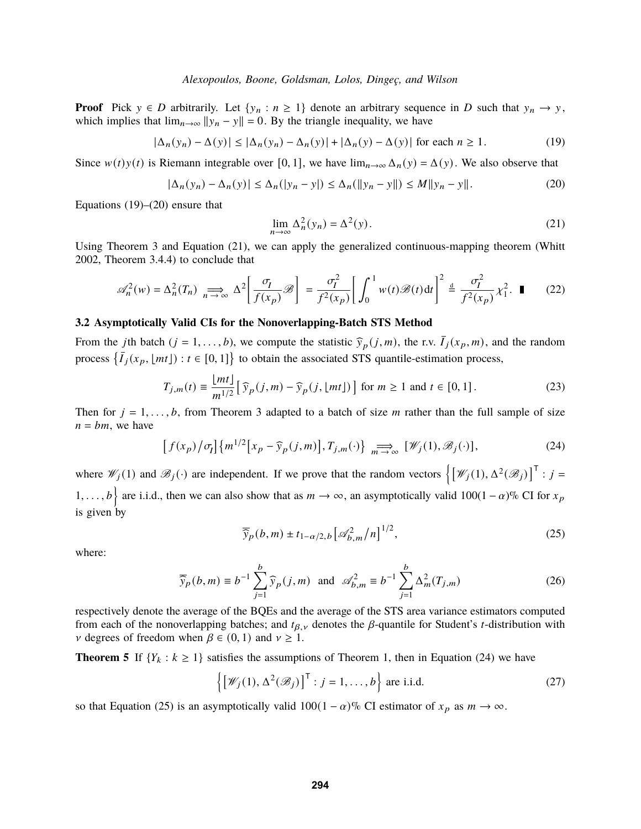**Proof** Pick  $y \in D$  arbitrarily. Let  $\{y_n : n \geq 1\}$  denote an arbitrary sequence in D such that  $y_n \to y$ , which implies that  $\lim_{n\to\infty} ||y_n - y|| = 0$ . By the triangle inequality, we have

<span id="page-5-1"></span>
$$
|\Delta_n(y_n) - \Delta(y)| \le |\Delta_n(y_n) - \Delta_n(y)| + |\Delta_n(y) - \Delta(y)| \text{ for each } n \ge 1.
$$
 (19)

Since  $w(t)y(t)$  is Riemann integrable over [0, 1], we have  $\lim_{n\to\infty} \Delta_n(y) = \Delta(y)$ . We also observe that

<span id="page-5-2"></span>
$$
|\Delta_n(y_n) - \Delta_n(y)| \le \Delta_n(|y_n - y|) \le \Delta_n(||y_n - y||) \le M||y_n - y||. \tag{20}
$$

Equations  $(19)$ – $(20)$  ensure that

<span id="page-5-3"></span>
$$
\lim_{n \to \infty} \Delta_n^2(y_n) = \Delta^2(y).
$$
 (21)

Using Theorem [3](#page-4-2) and Equation [\(21\)](#page-5-3), we can apply the generalized continuous-mapping theorem [\(Whitt](#page-11-4) [2002,](#page-11-4) Theorem 3.4.4) to conclude that

<span id="page-5-8"></span>
$$
\mathscr{A}_n^2(w) = \Delta_n^2(T_n) \implies \Delta^2 \left[ \frac{\sigma_I}{f(x_p)} \mathscr{B} \right] = \frac{\sigma_I^2}{f^2(x_p)} \left[ \int_0^1 w(t) \mathscr{B}(t) dt \right]^2 \stackrel{d}{=} \frac{\sigma_I^2}{f^2(x_p)} \chi_I^2. \quad \blacksquare \tag{22}
$$

## **3.2 Asymptotically Valid CIs for the Nonoverlapping-Batch STS Method**

From the *j*th batch (*j* = 1, ..., *b*), we compute the statistic  $\hat{y}_p(j,m)$ , the r.v.  $\bar{I}_j(x_p,m)$ , and the random process  $\{\bar{I}_i(x_p, \lfloor mt \rfloor) : t \in [0, 1]\}$  to obtain the associated STS quantile-estimation process,

$$
T_{j,m}(t) \equiv \frac{\lfloor mt \rfloor}{m^{1/2}} \left[ \widehat{\gamma}_p(j,m) - \widehat{\gamma}_p(j,\lfloor mt \rfloor) \right] \text{ for } m \ge 1 \text{ and } t \in [0,1]. \tag{23}
$$

Then for  $j = 1, \ldots, b$ , from Theorem [3](#page-4-2) adapted to a batch of size m rather than the full sample of size  $n = bm$ , we have

<span id="page-5-4"></span>
$$
\[f(x_p)/\sigma_I\]\{m^{1/2}\big[x_p-\widehat{y}_p(j,m)\big],T_{j,m}(\cdot)\}\underset{m\to\infty}{\Longrightarrow}[\mathscr{W}_j(1),\mathscr{B}_j(\cdot)],\tag{24}
$$

where  $\mathscr{W}_j(1)$  and  $\mathscr{B}_j(\cdot)$  are independent. If we prove that the random vectors  $\left\{ \left[ \mathscr{W}_j(1), \Delta^2(\mathscr{B}_j) \right]^\mathsf{T} : j = \right\}$ 1, ..., b are i.i.d., then we can also show that as  $m \to \infty$ , an asymptotically valid 100(1 –  $\alpha$ )% CI for  $x_p$ is given by

<span id="page-5-5"></span>
$$
\overline{\widehat{y}}_p(b,m) \pm t_{1-\alpha/2,b} \left[ \mathcal{A}_{b,m}^2 / n \right]^{1/2},\tag{25}
$$

where:

<span id="page-5-7"></span>
$$
\overline{\hat{y}}_p(b,m) \equiv b^{-1} \sum_{j=1}^b \hat{y}_p(j,m) \text{ and } \mathscr{A}_{b,m}^2 \equiv b^{-1} \sum_{j=1}^b \Delta_m^2(T_{j,m})
$$
 (26)

respectively denote the average of the BQEs and the average of the STS area variance estimators computed from each of the nonoverlapping batches; and  $t_{\beta,\nu}$  denotes the  $\beta$ -quantile for Student's *t*-distribution with  $\nu$  degrees of freedom when  $\beta \in (0, 1)$  and  $\nu \geq 1$ .

<span id="page-5-0"></span>**Theorem 5** If  ${Y_k : k \geq 1}$  satisfies the assumptions of Theorem [1,](#page-2-3) then in Equation [\(24\)](#page-5-4) we have

<span id="page-5-6"></span>
$$
\left\{ \left[ \mathscr{W}_j(1), \Delta^2(\mathscr{B}_j) \right]^\mathsf{T} : j = 1, \dots, b \right\} \text{ are i.i.d.}
$$
 (27)

so that Equation [\(25\)](#page-5-5) is an asymptotically valid  $100(1 - \alpha)\%$  CI estimator of  $x_p$  as  $m \to \infty$ .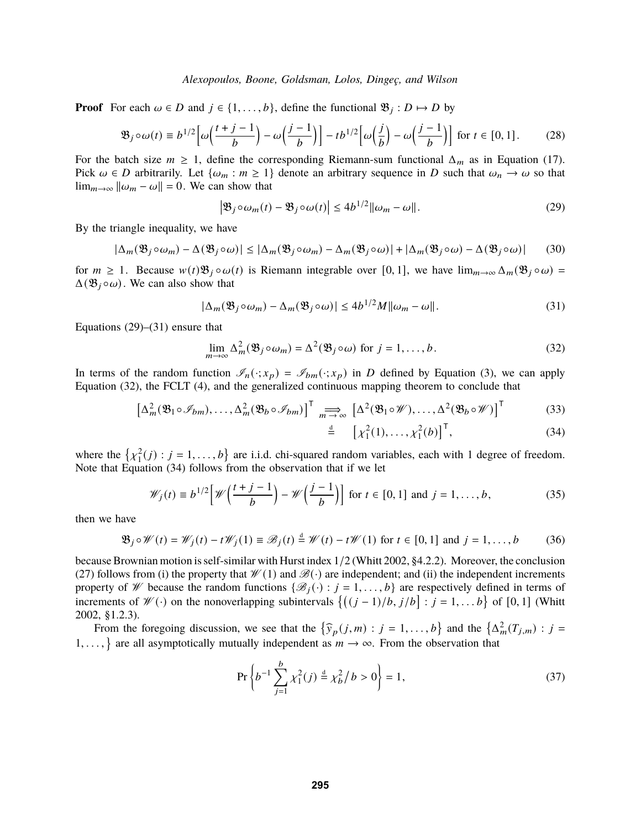**Proof** For each  $\omega \in D$  and  $j \in \{1, ..., b\}$ , define the functional  $\mathfrak{B}_j : D \mapsto D$  by

$$
\mathfrak{B}_{j} \circ \omega(t) \equiv b^{1/2} \left[ \omega\left(\frac{t+j-1}{b}\right) - \omega\left(\frac{j-1}{b}\right) \right] - tb^{1/2} \left[ \omega\left(\frac{j}{b}\right) - \omega\left(\frac{j-1}{b}\right) \right] \text{ for } t \in [0,1]. \tag{28}
$$

For the batch size  $m \ge 1$ , define the corresponding Riemann-sum functional  $\Delta_m$  as in Equation [\(17\)](#page-4-3). Pick  $\omega \in D$  arbitrarily. Let  $\{\omega_m : m \geq 1\}$  denote an arbitrary sequence in D such that  $\omega_n \to \omega$  so that  $\lim_{m\to\infty} ||\omega_m - \omega|| = 0$ . We can show that

$$
\left|\mathfrak{B}_{j}\circ\omega_{m}(t)-\mathfrak{B}_{j}\circ\omega(t)\right|\leq4b^{1/2}\|\omega_{m}-\omega\|.\tag{29}
$$

By the triangle inequality, we have

$$
|\Delta_m(\mathfrak{B}_j \circ \omega_m) - \Delta(\mathfrak{B}_j \circ \omega)| \le |\Delta_m(\mathfrak{B}_j \circ \omega_m) - \Delta_m(\mathfrak{B}_j \circ \omega)| + |\Delta_m(\mathfrak{B}_j \circ \omega) - \Delta(\mathfrak{B}_j \circ \omega)| \tag{30}
$$

for  $m \ge 1$ . Because  $w(t)\mathfrak{B}_j \circ \omega(t)$  is Riemann integrable over [0, 1], we have  $\lim_{m\to\infty} \Delta_m(\mathfrak{B}_j \circ \omega)$  =  $\Delta(\mathfrak{B}_i \circ \omega)$ . We can also show that

$$
|\Delta_m(\mathfrak{B}_j \circ \omega_m) - \Delta_m(\mathfrak{B}_j \circ \omega)| \le 4b^{1/2}M \|\omega_m - \omega\|.
$$
 (31)

Equations  $(29)$ – $(31)$  ensure that

<span id="page-6-2"></span>
$$
\lim_{m \to \infty} \Delta_m^2(\mathfrak{B}_j \circ \omega_m) = \Delta^2(\mathfrak{B}_j \circ \omega) \text{ for } j = 1, \dots, b.
$$
 (32)

In terms of the random function  $\mathcal{I}_n(\cdot; x_p) = \mathcal{I}_{bm}(\cdot; x_p)$  in D defined by Equation [\(3\)](#page-2-0), we can apply Equation [\(32\)](#page-6-2), the FCLT [\(4\)](#page-2-1), and the generalized continuous mapping theorem to conclude that

$$
\left[\Delta_m^2(\mathfrak{B}_1 \circ \mathscr{I}_{bm}), \dots, \Delta_m^2(\mathfrak{B}_b \circ \mathscr{I}_{bm})\right]^{\mathsf{T}} \underset{\text{d}}{\Longrightarrow} \left[\Delta^2(\mathfrak{B}_1 \circ \mathscr{W}), \dots, \Delta^2(\mathfrak{B}_b \circ \mathscr{W})\right]^{\mathsf{T}}
$$
(33)

<span id="page-6-3"></span><span id="page-6-1"></span><span id="page-6-0"></span>
$$
\stackrel{\text{d}}{=} \left[ \chi_1^2(1), \dots, \chi_1^2(b) \right]^{\mathsf{T}}, \tag{34}
$$

where the  $\{\chi_1^2(j) : j = 1, ..., b\}$  are i.i.d. chi-squared random variables, each with 1 degree of freedom. Note that Equation [\(34\)](#page-6-3) follows from the observation that if we let

$$
\mathcal{W}_j(t) \equiv b^{1/2} \left[ \mathcal{W}\left(\frac{t+j-1}{b}\right) - \mathcal{W}\left(\frac{j-1}{b}\right) \right] \text{ for } t \in [0,1] \text{ and } j = 1,\dots,b,
$$
 (35)

then we have

$$
\mathfrak{B}_j \circ \mathscr{W}(t) = \mathscr{W}_j(t) - t\mathscr{W}_j(1) \equiv \mathscr{B}_j(t) \stackrel{\text{d}}{=} \mathscr{W}(t) - t\mathscr{W}(1) \text{ for } t \in [0,1] \text{ and } j = 1,\dots,b \tag{36}
$$

because Brownian motion is self-similar with Hurst index 1/2 [\(Whitt](#page-11-4) [2002,](#page-11-4) §4.2.2). Moreover, the conclusion [\(27\)](#page-5-6) follows from (i) the property that  $\mathcal{W}(1)$  and  $\mathcal{B}(\cdot)$  are independent; and (ii) the independent increments property of W because the random functions  $\{\mathcal{B}_i(\cdot): j = 1, \ldots, b\}$  are respectively defined in terms of increments of  $\mathcal{W}(\cdot)$  on the nonoverlapping subintervals  $\{(j-1)/b, j/b\} : j = 1, \ldots b\}$  of  $[0, 1]$  [\(Whitt](#page-11-4) [2002,](#page-11-4) §1.2.3).

From the foregoing discussion, we see that the  $\{\hat{y}_p(j,m): j = 1,\ldots,b\}$  and the  $\{\Delta_m^2(T_{j,m}): j = 1, \ldots, b\}$ 1, ..., are all asymptotically mutually independent as  $m \to \infty$ . From the observation that

$$
\Pr\left\{b^{-1}\sum_{j=1}^{b} \chi_1^2(j) \stackrel{d}{=} \chi_b^2/b > 0\right\} = 1,\tag{37}
$$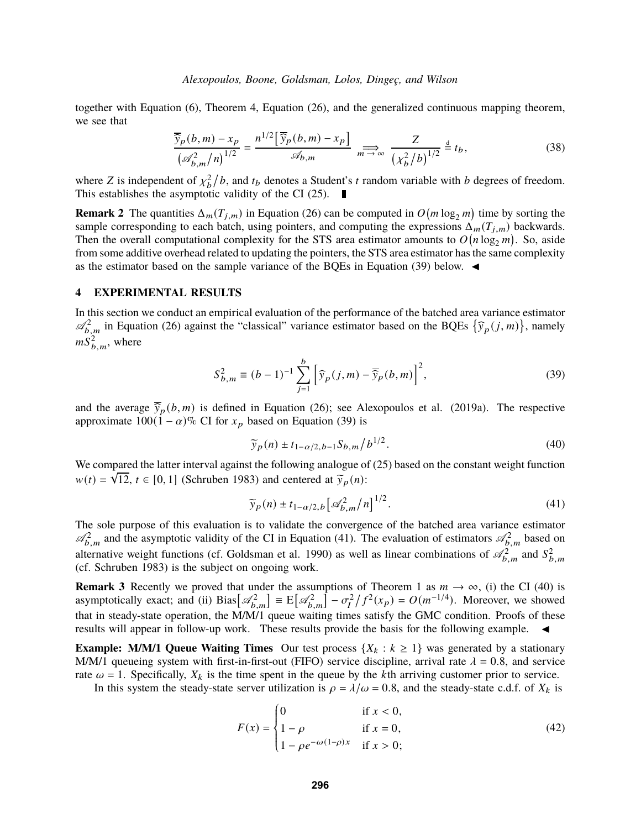together with Equation [\(6\)](#page-2-4), Theorem [4,](#page-4-0) Equation [\(26\)](#page-5-7), and the generalized continuous mapping theorem, we see that

$$
\frac{\overline{\widehat{y}}_p(b,m) - x_p}{\left(\mathscr{A}_{b,m}^2/n\right)^{1/2}} = \frac{n^{1/2} \left[\overline{\widehat{y}}_p(b,m) - x_p\right]}{\mathscr{A}_{b,m}} \xrightarrow[m \to \infty]{} \frac{Z}{\left(\chi_b^2/b\right)^{1/2}} \stackrel{d}{=} t_b,
$$
\n(38)

where Z is independent of  $\chi_b^2/b$ , and  $t_b$  denotes a Student's t random variable with b degrees of freedom. This establishes the asymptotic validity of the CI [\(25\)](#page-5-5).  $\blacksquare$ 

**Remark 2** The quantities  $\Delta_m(T_{j,m})$  in Equation [\(26\)](#page-5-7) can be computed in  $O(m \log_2 m)$  time by sorting the sample corresponding to each batch, using pointers, and computing the expressions  $\Delta_m(T_{j,m})$  backwards. Then the overall computational complexity for the STS area estimator amounts to  $O(n \log_2 m)$ . So, aside from some additive overhead related to updating the pointers, the STS area estimator has the same complexity as the estimator based on the sample variance of the BQEs in Equation [\(39\)](#page-7-1) below.  $\blacktriangleleft$ 

## <span id="page-7-0"></span>**4 EXPERIMENTAL RESULTS**

In this section we conduct an empirical evaluation of the performance of the batched area variance estimator  $\mathcal{A}_{b,m}^2$  in Equation [\(26\)](#page-5-7) against the "classical" variance estimator based on the BQEs  $\{\hat{y}_p(j,m)\}\$ , namely  $mS_{b,m}^2$ , where

<span id="page-7-1"></span>
$$
S_{b,m}^2 \equiv (b-1)^{-1} \sum_{j=1}^{b} \left[ \widehat{y}_p(j,m) - \overline{\widehat{y}}_p(b,m) \right]^2, \tag{39}
$$

and the average  $\overline{\hat{y}}_p(b,m)$  is defined in Equation [\(26\)](#page-5-7); see [Alexopoulos et al.](#page-10-1) [\(2019a\)](#page-10-1). The respective approximate  $100(1 - \alpha)\%$  CI for  $x_p$  based on Equation [\(39\)](#page-7-1) is

<span id="page-7-3"></span>
$$
\widetilde{y}_p(n) \pm t_{1-\alpha/2, b-1} S_{b,m} / b^{1/2}.
$$
\n(40)

We compared the latter interval against the following analogue of  $(25)$  based on the constant weight function  $w(t) = \sqrt{12}$ ,  $t \in [0, 1]$  [\(Schruben](#page-11-0) [1983\)](#page-11-0) and centered at  $\tilde{y}_p(n)$ :

<span id="page-7-2"></span>
$$
\widetilde{y}_p(n) \pm t_{1-\alpha/2,b} \left[ \mathcal{A}_{b,m}^2 / n \right]^{1/2}.
$$
\n(41)

The sole purpose of this evaluation is to validate the convergence of the batched area variance estimator  $\mathcal{A}_{b,m}^2$  and the asymptotic validity of the CI in Equation [\(41\)](#page-7-2). The evaluation of estimators  $\mathcal{A}_{b,m}^2$  based on alternative weight functions (cf. [Goldsman et al. 1990\)](#page-11-2) as well as linear combinations of  $\mathcal{A}_{b,m}^2$  and  $S_{b,m}^2$ (cf. [Schruben 1983\)](#page-11-0) is the subject on ongoing work.

**Remark 3** Recently we proved that under the assumptions of Theorem [1](#page-2-3) as  $m \to \infty$ , (i) the CI [\(40\)](#page-7-3) is asymptotically exact; and (ii) Bias $\left[\mathscr{A}_{b,m}^2\right] = \mathbb{E}\left[\mathscr{A}_{b,m}^2\right] - \sigma_I^2/f^2(x_P) = O(m^{-1/4})$ . Moreover, we showed that in steady-state operation, the M/M/1 queue waiting times satisfy the GMC condition. Proofs of these results will appear in follow-up work. These results provide the basis for the following example.  $\blacktriangleleft$ 

**Example: M/M/1 Queue Waiting Times** Our test process  $\{X_k : k \geq 1\}$  was generated by a stationary M/M/1 queueing system with first-in-first-out (FIFO) service discipline, arrival rate  $\lambda = 0.8$ , and service rate  $\omega = 1$ . Specifically,  $X_k$  is the time spent in the queue by the kth arriving customer prior to service.

In this system the steady-state server utilization is  $\rho = \lambda/\omega = 0.8$ , and the steady-state c.d.f. of  $X_k$  is

<span id="page-7-4"></span>
$$
F(x) = \begin{cases} 0 & \text{if } x < 0, \\ 1 - \rho & \text{if } x = 0, \\ 1 - \rho e^{-\omega(1-\rho)x} & \text{if } x > 0; \end{cases}
$$
(42)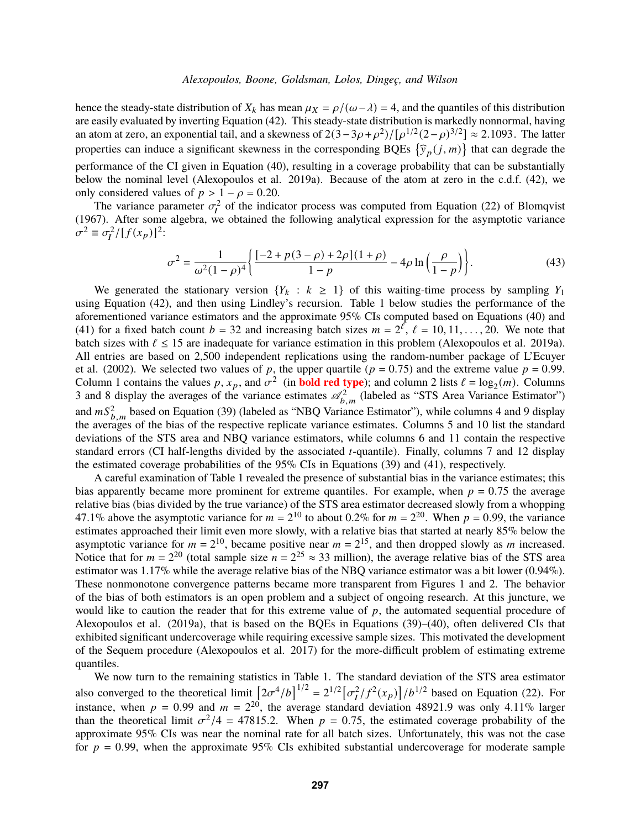hence the steady-state distribution of  $X_k$  has mean  $\mu_X = \rho/(\omega - \lambda) = 4$ , and the quantiles of this distribution are easily evaluated by inverting Equation [\(42\)](#page-7-4). This steady-state distribution is markedly nonnormal, having an atom at zero, an exponential tail, and a skewness of  $2(3-3\rho+\rho^2)/[\rho^{1/2}(2-\rho)^{3/2}] \approx 2.1093$ . The latter properties can induce a significant skewness in the corresponding BQEs  $\{\hat{y}_p(j, m)\}\$  that can degrade the performance of the CI given in Equation [\(40\)](#page-7-3), resulting in a coverage probability that can be substantially below the nominal level [\(Alexopoulos et al.](#page-10-1) [2019a\)](#page-10-1). Because of the atom at zero in the c.d.f. [\(42\)](#page-7-4), we only considered values of  $p > 1 - \rho = 0.20$ .

The variance parameter  $\sigma_l^2$  of the indicator process was computed from Equation (22) of [Blomqvist](#page-10-5) [\(1967\)](#page-10-5). After some algebra, we obtained the following analytical expression for the asymptotic variance  $\sigma^2 \equiv \sigma_I^2 / [f(x_P)]^2$ :

$$
\sigma^2 = \frac{1}{\omega^2 (1 - \rho)^4} \left\{ \frac{[-2 + p(3 - \rho) + 2\rho](1 + \rho)}{1 - p} - 4\rho \ln \left( \frac{\rho}{1 - p} \right) \right\}.
$$
(43)

We generated the stationary version  ${Y_k : k \ge 1}$  of this waiting-time process by sampling  $Y_1$ using Equation [\(42\)](#page-7-4), and then using Lindley's recursion. Table [1](#page-9-0) below studies the performance of the aforementioned variance estimators and the approximate 95% CIs computed based on Equations [\(40\)](#page-7-3) and [\(41\)](#page-7-2) for a fixed batch count  $b = 32$  and increasing batch sizes  $m = 2^{\ell}$ ,  $\ell = 10, 11, ..., 20$ . We note that batch sizes with  $\ell \le 15$  are inadequate for variance estimation in this problem [\(Alexopoulos et al. 2019a\)](#page-10-1). All entries are based on 2,500 independent replications using the random-number package of [L'Ecuyer](#page-11-6) [et al. \(2002\).](#page-11-6) We selected two values of p, the upper quartile ( $p = 0.75$ ) and the extreme value  $p = 0.99$ . Column 1 contains the values p,  $x_p$ , and  $\sigma^2$  (in **bold red type**); and column 2 lists  $\ell = \log_2(m)$ . Columns 3 and 8 display the averages of the variance estimates  $\mathcal{A}_{b,m}^2$  (labeled as "STS Area Variance Estimator") and  $mS_{b,m}^2$  based on Equation [\(39\)](#page-7-1) (labeled as "NBQ Variance Estimator"), while columns 4 and 9 display the averages of the bias of the respective replicate variance estimates. Columns 5 and 10 list the standard deviations of the STS area and NBQ variance estimators, while columns 6 and 11 contain the respective standard errors (CI half-lengths divided by the associated  $t$ -quantile). Finally, columns 7 and 12 display the estimated coverage probabilities of the 95% CIs in Equations [\(39\)](#page-7-1) and [\(41\)](#page-7-2), respectively.

A careful examination of Table [1](#page-9-0) revealed the presence of substantial bias in the variance estimates; this bias apparently became more prominent for extreme quantiles. For example, when  $p = 0.75$  the average relative bias (bias divided by the true variance) of the STS area estimator decreased slowly from a whopping 47.1% above the asymptotic variance for  $m = 2^{10}$  to about 0.2% for  $m = 2^{20}$ . When  $p = 0.99$ , the variance estimates approached their limit even more slowly, with a relative bias that started at nearly 85% below the asymptotic variance for  $m = 2^{10}$ , became positive near  $m = 2^{15}$ , and then dropped slowly as m increased. Notice that for  $m = 2^{20}$  (total sample size  $n = 2^{25} \approx 33$  million), the average relative bias of the STS area estimator was 1.17% while the average relative bias of the NBQ variance estimator was a bit lower (0.94%). These nonmonotone convergence patterns became more transparent from Figures [1](#page-9-1) and [2.](#page-10-6) The behavior of the bias of both estimators is an open problem and a subject of ongoing research. At this juncture, we would like to caution the reader that for this extreme value of  $p$ , the automated sequential procedure of [Alexopoulos et al.](#page-10-1) [\(2019a\)](#page-10-1), that is based on the BQEs in Equations [\(39\)](#page-7-1)–[\(40\)](#page-7-3), often delivered CIs that exhibited significant undercoverage while requiring excessive sample sizes. This motivated the development of the Sequem procedure [\(Alexopoulos et al.](#page-10-0) [2017\)](#page-10-0) for the more-difficult problem of estimating extreme quantiles.

We now turn to the remaining statistics in Table [1.](#page-9-0) The standard deviation of the STS area estimator also converged to the theoretical limit  $[2\sigma^4/b]^{1/2} = 2^{1/2} [\sigma_I^2/f^2(x_p)]/b^{1/2}$  based on Equation [\(22\)](#page-5-8). For instance, when  $p = 0.99$  and  $m = 2^{20}$ , the average standard deviation 48921.9 was only 4.11% larger than the theoretical limit  $\sigma^2/4 = 47815.2$ . When  $p = 0.75$ , the estimated coverage probability of the approximate 95% CIs was near the nominal rate for all batch sizes. Unfortunately, this was not the case for  $p = 0.99$ , when the approximate 95% CIs exhibited substantial undercoverage for moderate sample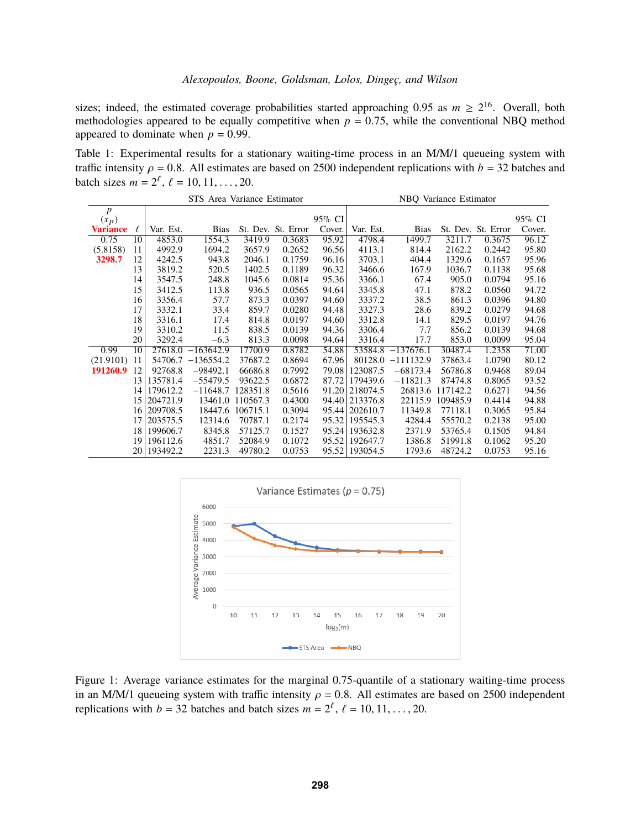sizes; indeed, the estimated coverage probabilities started approaching 0.95 as  $m \ge 2^{16}$ . Overall, both methodologies appeared to be equally competitive when  $p = 0.75$ , while the conventional NBQ method appeared to dominate when  $p = 0.99$ .

<span id="page-9-0"></span>Table 1: Experimental results for a stationary waiting-time process in an M/M/1 queueing system with traffic intensity  $\rho = 0.8$ . All estimates are based on 2500 independent replications with  $b = 32$  batches and batch sizes  $m = 2^{\ell}$ ,  $\ell = 10, 11, ..., 20$ .

|                  | STS Area Variance Estimator |           |                      |                  |                    |        | NBQ Variance Estimator |                      |          |                    |        |
|------------------|-----------------------------|-----------|----------------------|------------------|--------------------|--------|------------------------|----------------------|----------|--------------------|--------|
| $\boldsymbol{p}$ |                             |           |                      |                  |                    |        |                        |                      |          |                    |        |
| $(x_p)$          |                             |           |                      |                  |                    | 95% CI |                        |                      |          |                    | 95% CI |
| <b>Variance</b>  | ℓ                           | Var. Est. | <b>Bias</b>          |                  | St. Dev. St. Error | Cover. | Var. Est.              | <b>Bias</b>          |          | St. Dev. St. Error | Cover. |
| 0.75             | 10                          | 4853.0    | 1554.3               | 3419.9           | 0.3683             | 95.92  | 4798.4                 | 1499.7               | 3211.7   | 0.3675             | 96.12  |
| (5.8158)         | 11                          | 4992.9    | 1694.2               | 3657.9           | 0.2652             | 96.56  | 4113.1                 | 814.4                | 2162.2   | 0.2442             | 95.80  |
| 3298.7           | 12                          | 4242.5    | 943.8                | 2046.1           | 0.1759             | 96.16  | 3703.1                 | 404.4                | 1329.6   | 0.1657             | 95.96  |
|                  | 13                          | 3819.2    | 520.5                | 1402.5           | 0.1189             | 96.32  | 3466.6                 | 167.9                | 1036.7   | 0.1138             | 95.68  |
|                  | 14                          | 3547.5    | 248.8                | 1045.6           | 0.0814             | 95.36  | 3366.1                 | 67.4                 | 905.0    | 0.0794             | 95.16  |
|                  | 15                          | 3412.5    | 113.8                | 936.5            | 0.0565             | 94.64  | 3345.8                 | 47.1                 | 878.2    | 0.0560             | 94.72  |
|                  | 16                          | 3356.4    | 57.7                 | 873.3            | 0.0397             | 94.60  | 3337.2                 | 38.5                 | 861.3    | 0.0396             | 94.80  |
|                  | 17                          | 3332.1    | 33.4                 | 859.7            | 0.0280             | 94.48  | 3327.3                 | 28.6                 | 839.2    | 0.0279             | 94.68  |
|                  | 18                          | 3316.1    | 17.4                 | 814.8            | 0.0197             | 94.60  | 3312.8                 | 14.1                 | 829.5    | 0.0197             | 94.76  |
|                  | 19                          | 3310.2    | 11.5                 | 838.5            | 0.0139             | 94.36  | 3306.4                 | 7.7                  | 856.2    | 0.0139             | 94.68  |
|                  | 20                          | 3292.4    | $-6.3$               | 813.3            | 0.0098             | 94.64  | 3316.4                 | 17.7                 | 853.0    | 0.0099             | 95.04  |
| 0.99             | 10                          | 27618.0   | $-163642.9$          | 17700.9          | 0.8782             | 54.88  |                        | $53584.8$ -137676.1  | 30487.4  | 1.2358             | 71.00  |
| (21.9101)        | -11                         |           | $54706.7 - 136554.2$ | 37687.2          | 0.8694             | 67.96  |                        | $80128.0 - 111132.9$ | 37863.4  | 1.0790             | 80.12  |
| 191260.9         | 12                          | 92768.8   | $-98492.1$           | 66686.8          | 0.7992             | 79.08  | 123087.5               | $-68173.4$           | 56786.8  | 0.9468             | 89.04  |
|                  | 13 <sup>1</sup>             | 135781.4  | $-55479.5$           | 93622.5          | 0.6872             | 87.72  | 179439.6               | $-11821.3$           | 87474.8  | 0.8065             | 93.52  |
|                  | 14                          | 179612.2  | $-11648.7$           | 128351.8         | 0.5616             | 91.20  | 218074.5               | 26813.6              | 117142.2 | 0.6271             | 94.56  |
|                  | 15                          | 204721.9  |                      | 13461.0 110567.3 | 0.4300             | 94.40  | 213376.8               | 22115.9              | 109485.9 | 0.4414             | 94.88  |
|                  | 16                          | 209708.5  |                      | 18447.6 106715.1 | 0.3094             | 95.44  | 202610.7               | 11349.8              | 77118.1  | 0.3065             | 95.84  |
|                  | 17                          | 203575.5  | 12314.6              | 70787.1          | 0.2174             | 95.32  | 195545.3               | 4284.4               | 55570.2  | 0.2138             | 95.00  |
|                  | 18                          | 199606.7  | 8345.8               | 57125.7          | 0.1527             | 95.24  | 193632.8               | 2371.9               | 53765.4  | 0.1505             | 94.84  |
|                  | 19                          | 196112.6  | 4851.7               | 52084.9          | 0.1072             | 95.52  | 192647.7               | 1386.8               | 51991.8  | 0.1062             | 95.20  |
|                  | 20 l                        | 193492.2  | 2231.3               | 49780.2          | 0.0753             | 95.52  | 193054.5               | 1793.6               | 48724.2  | 0.0753             | 95.16  |



<span id="page-9-1"></span>Figure 1: Average variance estimates for the marginal 0.75-quantile of a stationary waiting-time process in an M/M/1 queueing system with traffic intensity  $\rho = 0.8$ . All estimates are based on 2500 independent replications with  $b = 32$  batches and batch sizes  $m = 2^{\ell}$ ,  $\ell = 10, 11, ..., 20$ .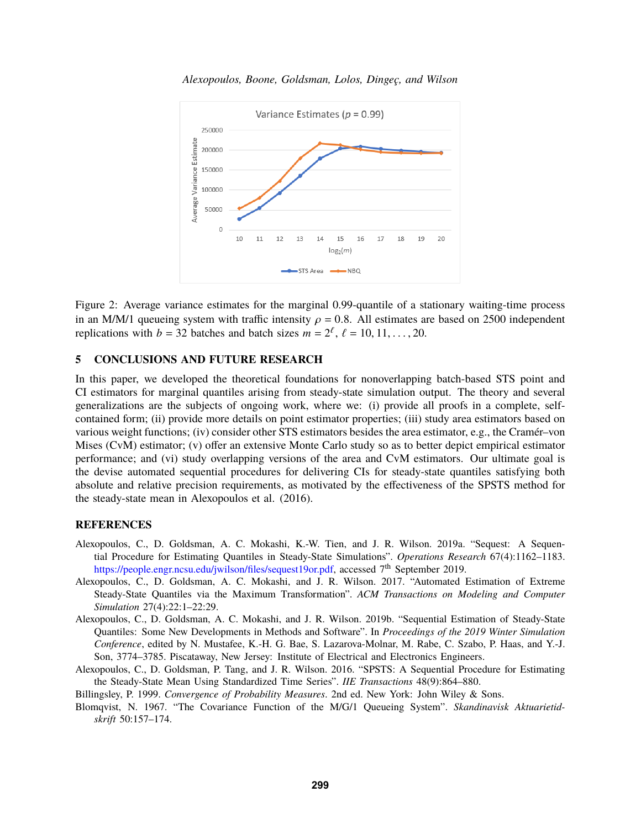

<span id="page-10-6"></span>Figure 2: Average variance estimates for the marginal 0.99-quantile of a stationary waiting-time process in an M/M/1 queueing system with traffic intensity  $\rho = 0.8$ . All estimates are based on 2500 independent replications with  $b = 32$  batches and batch sizes  $m = 2^{\ell}$ ,  $\ell = 10, 11, ..., 20$ .

# <span id="page-10-3"></span>**5 CONCLUSIONS AND FUTURE RESEARCH**

In this paper, we developed the theoretical foundations for nonoverlapping batch-based STS point and CI estimators for marginal quantiles arising from steady-state simulation output. The theory and several generalizations are the subjects of ongoing work, where we: (i) provide all proofs in a complete, selfcontained form; (ii) provide more details on point estimator properties; (iii) study area estimators based on various weight functions; (iv) consider other STS estimators besides the area estimator, e.g., the Cramér–von Mises (CvM) estimator; (v) offer an extensive Monte Carlo study so as to better depict empirical estimator performance; and (vi) study overlapping versions of the area and CvM estimators. Our ultimate goal is the devise automated sequential procedures for delivering CIs for steady-state quantiles satisfying both absolute and relative precision requirements, as motivated by the effectiveness of the SPSTS method for the steady-state mean in [Alexopoulos et al.](#page-10-7) [\(2016\)](#page-10-7).

## **REFERENCES**

- <span id="page-10-1"></span>Alexopoulos, C., D. Goldsman, A. C. Mokashi, K.-W. Tien, and J. R. Wilson. 2019a. "Sequest: A Sequential Procedure for Estimating Quantiles in Steady-State Simulations". *Operations Research* 67(4):1162–1183. https://people.engr.ncsu.edu/jwilson/files/sequest19or.pdf, accessed 7<sup>th</sup> September 2019.
- <span id="page-10-0"></span>Alexopoulos, C., D. Goldsman, A. C. Mokashi, and J. R. Wilson. 2017. "Automated Estimation of Extreme Steady-State Quantiles via the Maximum Transformation". *ACM Transactions on Modeling and Computer Simulation* 27(4):22:1–22:29.
- <span id="page-10-2"></span>Alexopoulos, C., D. Goldsman, A. C. Mokashi, and J. R. Wilson. 2019b. "Sequential Estimation of Steady-State Quantiles: Some New Developments in Methods and Software". In *Proceedings of the 2019 Winter Simulation Conference*, edited by N. Mustafee, K.-H. G. Bae, S. Lazarova-Molnar, M. Rabe, C. Szabo, P. Haas, and Y.-J. Son, 3774–3785. Piscataway, New Jersey: Institute of Electrical and Electronics Engineers.
- <span id="page-10-7"></span>Alexopoulos, C., D. Goldsman, P. Tang, and J. R. Wilson. 2016. "SPSTS: A Sequential Procedure for Estimating the Steady-State Mean Using Standardized Time Series". *IIE Transactions* 48(9):864–880.

<span id="page-10-4"></span>Billingsley, P. 1999. *Convergence of Probability Measures*. 2nd ed. New York: John Wiley & Sons.

<span id="page-10-5"></span>Blomqvist, N. 1967. "The Covariance Function of the M/G/1 Queueing System". *Skandinavisk Aktuarietidskrift* 50:157–174.